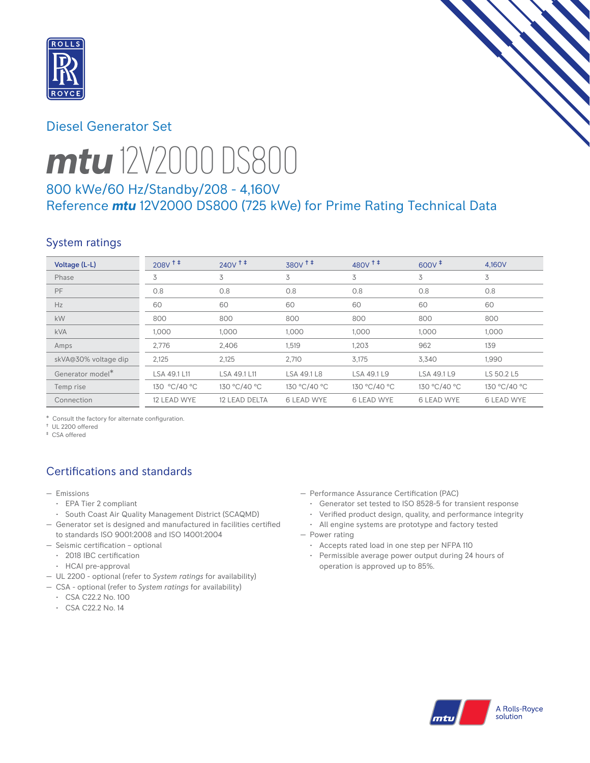

## Diesel Generator Set



# *mtu* 12V2000 DS800

# 800 kWe/60 Hz/Standby/208 - 4,160V Reference *mtu* 12V2000 DS800 (725 kWe) for Prime Rating Technical Data

# System ratings

| Voltage (L-L)        | $208V$ <sup>++</sup> | $240V$ <sup>++</sup> | 380V <sup>++</sup> | $480V$ <sup>++</sup> | $600V^+$          | 4.160V            |
|----------------------|----------------------|----------------------|--------------------|----------------------|-------------------|-------------------|
| Phase                | 3                    | 3                    | 3                  | 3                    | 3                 | 3                 |
| PF                   | 0.8                  | 0.8                  | 0.8                | 0.8                  | 0.8               | 0.8               |
| Hz                   | 60                   | 60                   | 60                 | 60                   | 60                | 60                |
| kW                   | 800                  | 800                  | 800                | 800                  | 800               | 800               |
| <b>kVA</b>           | 1,000                | 1.000                | 1,000              | 1,000                | 1,000             | 1,000             |
| Amps                 | 2.776                | 2,406                | 1,519              | 1.203                | 962               | 139               |
| skVA@30% voltage dip | 2,125                | 2,125                | 2,710              | 3,175                | 3,340             | 1,990             |
| Generator model*     | LSA 49.1 L11         | LSA 49.1 L11         | LSA 49.1 L8        | LSA 49.1 L9          | LSA 49.1 L9       | LS 50.2 L5        |
| Temp rise            | 130 °C/40 °C         | 130 °C/40 °C         | 130 °C/40 °C       | 130 °C/40 °C         | 130 °C/40 °C      | 130 °C/40 °C      |
| Connection           | 12 LEAD WYE          | 12 LEAD DELTA        | <b>6 LEAD WYE</b>  | <b>6 LEAD WYE</b>    | <b>6 LEAD WYE</b> | <b>6 LEAD WYE</b> |

\* Consult the factory for alternate configuration.

† UL 2200 offered ‡ CSA offered

# Certifications and standards

- Emissions
	- EPA Tier 2 compliant
	- South Coast Air Quality Management District (SCAQMD)
- Generator set is designed and manufactured in facilities certified to standards ISO 9001:2008 and ISO 14001:2004
- Seismic certification optional
	- 2018 IBC certification
	- HCAI pre-approval
- UL 2200 optional (refer to *System ratings* for availability)
- CSA optional (refer to *System ratings* for availability)
	- CSA C22.2 No. 100
	- CSA C22.2 No. 14
- Performance Assurance Certification (PAC)
	- Generator set tested to ISO 8528-5 for transient response
	- Verified product design, quality, and performance integrity
- All engine systems are prototype and factory tested — Power rating
	- Accepts rated load in one step per NFPA 110
	- Permissible average power output during 24 hours of operation is approved up to 85%.

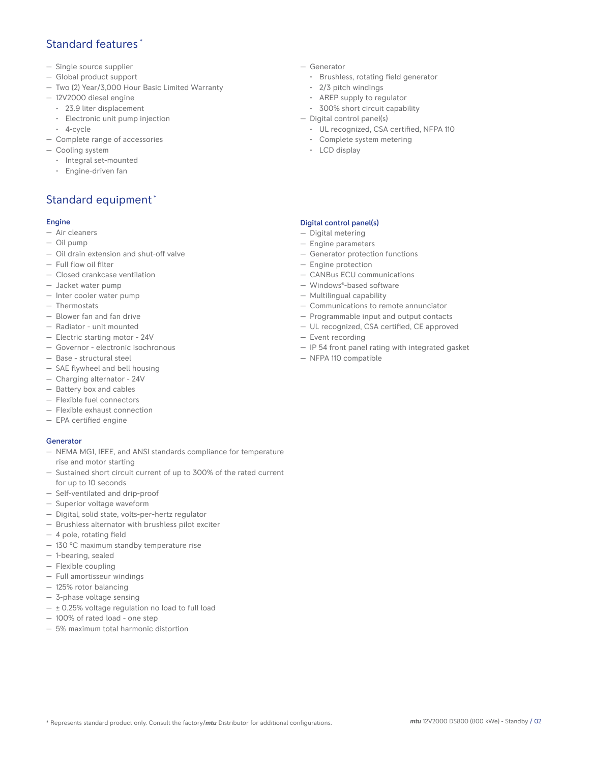## Standard features \*

- Single source supplier
- Global product support
- Two (2) Year/3,000 Hour Basic Limited Warranty
- 12V2000 diesel engine
	- 23.9 liter displacement
	- Electronic unit pump injection
- 4-cycle
- Complete range of accessories
- Cooling system
	- Integral set-mounted
	- Engine-driven fan

## Standard equipment \*

#### Engine

- Air cleaners
- Oil pump
- Oil drain extension and shut-off valve
- Full flow oil filter
- Closed crankcase ventilation
- Jacket water pump
- Inter cooler water pump
- Thermostats
- Blower fan and fan drive
- Radiator unit mounted
- Electric starting motor 24V
- Governor electronic isochronous
- Base structural steel
- SAE flywheel and bell housing
- Charging alternator 24V
- Battery box and cables
- Flexible fuel connectors
- Flexible exhaust connection
- EPA certified engine

#### **Generator**

- NEMA MG1, IEEE, and ANSI standards compliance for temperature rise and motor starting
- Sustained short circuit current of up to 300% of the rated current for up to 10 seconds
- Self-ventilated and drip-proof
- Superior voltage waveform
- Digital, solid state, volts-per-hertz regulator
- Brushless alternator with brushless pilot exciter
- 4 pole, rotating field
- 130 °C maximum standby temperature rise
- 1-bearing, sealed
- Flexible coupling
- Full amortisseur windings
- 125% rotor balancing
- 3-phase voltage sensing
- $\pm$  0.25% voltage regulation no load to full load
- 100% of rated load one step
- 5% maximum total harmonic distortion
- Generator
	- Brushless, rotating field generator
	- 2/3 pitch windings
	- AREP supply to regulator
	- 300% short circuit capability
- Digital control panel(s)
	- UL recognized, CSA certified, NFPA 110
	- Complete system metering
	- LCD display

#### Digital control panel(s)

- Digital metering
- Engine parameters
- Generator protection functions
- Engine protection
- CANBus ECU communications
- Windows®-based software
- Multilingual capability
- Communications to remote annunciator
- Programmable input and output contacts
- UL recognized, CSA certified, CE approved
- Event recording
- IP 54 front panel rating with integrated gasket
- NFPA 110 compatible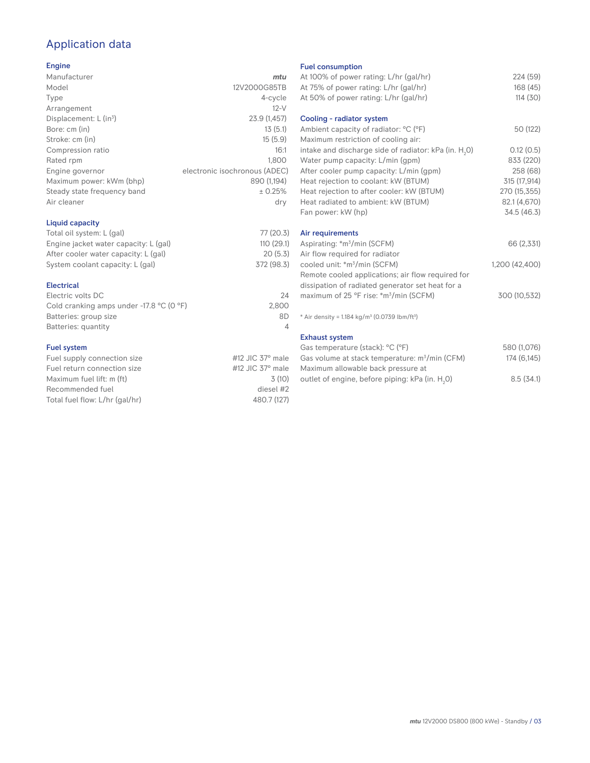## Application data

#### Engine

| Manufacturer                         | mtu                           |
|--------------------------------------|-------------------------------|
| Model                                | 12V2000G85TB                  |
| Type                                 | 4-cycle                       |
| Arrangement                          | $12-V$                        |
| Displacement: $L$ (in <sup>3</sup> ) | 23.9 (1,457)                  |
| Bore: cm (in)                        | 13(5.1)                       |
| Stroke: cm (in)                      | 15(5.9)                       |
| Compression ratio                    | 16:1                          |
| Rated rpm                            | 1,800                         |
| Engine governor                      | electronic isochronous (ADEC) |
| Maximum power: kWm (bhp)             | 890 (1,194)                   |
| Steady state frequency band          | ± 0.25%                       |
| Air cleaner                          | dry                           |
| Liquid capacity                      |                               |

#### Total oil system: L (gal) 77 (20.3)<br>Engine jacket water capacity: L (gal) 110 (29.1) Engine jacket water capacity: L (gal) 110 (29.1)<br>After cooler water capacity: L (gal) 20 (5.3) After cooler water capacity: L (gal) System coolant capacity: L (gal) 372 (98.3) Electrical

| Electric volts DC                                            | 24    |
|--------------------------------------------------------------|-------|
| Cold cranking amps under -17.8 $^{\circ}$ C (O $^{\circ}$ F) | 2.800 |
| Batteries: group size                                        | 8D    |
| Batteries: quantity                                          |       |
|                                                              |       |

#### Fuel system

| Fuel supply connection size    | #12 JIC $37^\circ$ male |
|--------------------------------|-------------------------|
| Fuel return connection size    | #12 JIC $37^\circ$ male |
| Maximum fuel lift: m (ft)      | 3(10)                   |
| Recommended fuel               | diesel #2               |
| Total fuel flow: L/hr (gal/hr) | 480.7 (127)             |
|                                |                         |

#### Fuel consumption

| At 100% of power rating: L/hr (gal/hr)<br>At 75% of power rating: L/hr (gal/hr)<br>At 50% of power rating: L/hr (gal/hr) | 224 (59)<br>168 (45)<br>114(30) |
|--------------------------------------------------------------------------------------------------------------------------|---------------------------------|
| Cooling - radiator system<br>Ambient capacity of radiator: °C (°F)                                                       | 50 (122)                        |
| Maximum restriction of cooling air:                                                                                      |                                 |
| intake and discharge side of radiator: kPa (in. H <sub>2</sub> O)                                                        | 0.12(0.5)                       |
| Water pump capacity: L/min (gpm)                                                                                         | 833 (220)                       |
| After cooler pump capacity: L/min (gpm)                                                                                  | 258 (68)                        |
| Heat rejection to coolant: kW (BTUM)                                                                                     | 315 (17,914)                    |
| Heat rejection to after cooler: kW (BTUM)                                                                                | 270 (15,355)                    |
| Heat radiated to ambient: kW (BTUM)                                                                                      | 82.1 (4,670)                    |
| Fan power: kW (hp)                                                                                                       | 34.5 (46.3)                     |
| Air requirements                                                                                                         |                                 |
| Aspirating: *m <sup>3</sup> /min (SCFM)                                                                                  | 66 (2,331)                      |
| Air flow required for radiator                                                                                           |                                 |
| cooled unit: *m <sup>3</sup> /min (SCFM)                                                                                 | 1,200 (42,400)                  |
| Remote cooled applications; air flow required for                                                                        |                                 |
| dissipation of radiated generator set heat for a                                                                         |                                 |
| maximum of 25 °F rise: *m <sup>3</sup> /min (SCFM)                                                                       | 300 (10,532)                    |
| * Air density = 1.184 kg/m <sup>3</sup> (0.0739 lbm/ft <sup>3</sup> )                                                    |                                 |
| <b>Exhaust system</b>                                                                                                    |                                 |
| Gas temperature (stack): °C (°F)                                                                                         | 580 (1,076)                     |
| Gas volume at stack temperature: m <sup>3</sup> /min (CFM)<br>Maximum allowable back pressure at                         | 174 (6,145)                     |
| outlet of engine, before piping: kPa (in. H <sub>2</sub> 0)                                                              | 8.5(34.1)                       |